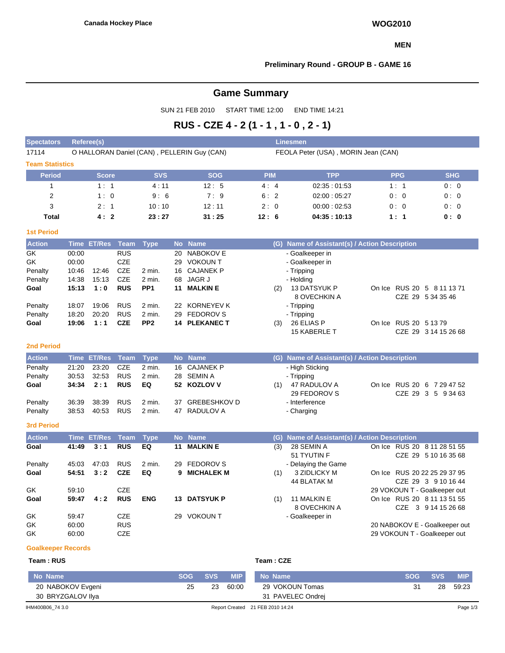#### **MEN**

## **Preliminary Round - GROUP B - GAME 16**

# **Game Summary**

SUN 21 FEB 2010 START TIME 12:00 END TIME 14:21

# **RUS - CZE 4 - 2 (1 - 1 , 1 - 0 , 2 - 1)**

| <b>Spectators</b>        | Referee(s)                                  |            |            | <b>Linesmen</b> |                                     |            |            |
|--------------------------|---------------------------------------------|------------|------------|-----------------|-------------------------------------|------------|------------|
| 17114                    | O HALLORAN Daniel (CAN), PELLERIN Guy (CAN) |            |            |                 | FEOLA Peter (USA), MORIN Jean (CAN) |            |            |
| <b>Team Statistics</b>   |                                             |            |            |                 |                                     |            |            |
| <b>Period</b>            | <b>Score</b>                                | <b>SVS</b> | <b>SOG</b> | <b>PIM</b>      | <b>TPP</b>                          | <b>PPG</b> | <b>SHG</b> |
|                          | 1:1                                         | 4:11       | 12:5       | 4:4             | 02:35:01:53                         | 1:1        | 0:0        |
| 2                        | 1:0                                         | 9:6        | 7:9        | 6:2             | 02:00:05:27                         | 0:0        | 0:0        |
| 3                        | 2:1                                         | 10:10      | 12:11      | 2:0             | 00:00:02:53                         | 0:0        | 0:0        |
| <b>Total</b>             | 4:2                                         | 23:27      | 31:25      | 12:6            | 04:35:10:13                         | 1:1        | 0:0        |
| <b>1st Period</b>        |                                             |            |            |                 |                                     |            |            |
| <b>Contract Contract</b> | __<br>___<br>_                              | _          |            | $\sim$          |                                     |            |            |

| <b>Action</b> |       | Time ET/Res Team Type |            |                 |    | No Name              | (G) Name of Assistant(s) / Action Description     |
|---------------|-------|-----------------------|------------|-----------------|----|----------------------|---------------------------------------------------|
| GK            | 00:00 |                       | <b>RUS</b> |                 |    | 20 NABOKOV E         | - Goalkeeper in                                   |
| GK            | 00:00 |                       | CZE        |                 |    | 29 VOKOUN T          | - Goalkeeper in                                   |
| Penalty       | 10:46 | 12:46                 | CZE        | 2 min.          |    | 16 CAJANEK P         | - Tripping                                        |
| Penalty       | 14:38 | 15:13                 | CZE        | 2 min.          |    | 68 JAGR J            | - Holding                                         |
| Goal          | 15:13 | 1:0                   | <b>RUS</b> | PP <sub>1</sub> | 11 | <b>MALKIN E</b>      | On Ice RUS 20 5 8 11 13 71<br>13 DATSYUK P<br>(2) |
|               |       |                       |            |                 |    |                      | 8 OVECHKIN A<br>CZE 29 5 34 35 46                 |
| Penalty       | 18:07 | 19:06                 | <b>RUS</b> | 2 min.          |    | 22 KORNEYEV K        | - Tripping                                        |
| Penalty       | 18:20 | 20:20                 | <b>RUS</b> | 2 min.          |    | 29 FEDOROV S         | - Tripping                                        |
| Goal          | 19:06 | 1:1                   | <b>CZE</b> | PP <sub>2</sub> |    | <b>14 PLEKANEC T</b> | On Ice RUS 20 5 13 79<br>26 ELIAS P<br>(3)        |
|               |       |                       |            |                 |    |                      | <b>15 KABERLE T</b><br>CZE 29 3 14 15 26 68       |

#### **2nd Period**

| <b>Action</b>      |                | Time ET/Res Team Type |                          |                    | No Name                         |     | (G) Name of Assistant(s) / Action Description |                                                  |  |  |
|--------------------|----------------|-----------------------|--------------------------|--------------------|---------------------------------|-----|-----------------------------------------------|--------------------------------------------------|--|--|
| Penalty            | 21:20          | 23:20                 | CZE                      | 2 min.             | 16 CAJANEK P                    |     | - High Sticking                               |                                                  |  |  |
| Penalty            | 30:53          | 32:53                 | <b>RUS</b>               | 2 min.             | 28 SEMIN A                      |     | - Tripping                                    |                                                  |  |  |
| Goal               |                | $34.34$ 2:1           | <b>RUS</b>               | EQ                 | 52 KOZLOV V                     | (1) | 47 RADULOV A<br>29 FEDOROV S                  | On Ice RUS 20 6 7 29 47 52<br>CZE 29 3 5 9 34 63 |  |  |
| Penalty<br>Penalty | 36.39<br>38.53 | 38:39<br>40:53        | <b>RUS</b><br><b>RUS</b> | $2$ min.<br>2 min. | 37 GREBESHKOV D<br>47 RADULOV A |     | - Interference<br>- Charging                  |                                                  |  |  |

#### **3rd Period**

| <b>Action</b> |       | Time ET/Res Team Type |            |            |    | No Name             |     | (G) Name of Assistant(s) / Action Description |        |                               |
|---------------|-------|-----------------------|------------|------------|----|---------------------|-----|-----------------------------------------------|--------|-------------------------------|
| Goal          | 41:49 | 3:1                   | <b>RUS</b> | EQ         | 11 | <b>MALKIN E</b>     | (3) | 28 SEMIN A                                    | On Ice | RUS 20 8 11 28 51 55          |
|               |       |                       |            |            |    |                     |     | 51 TYUTIN F                                   |        | CZE 29 5 10 16 35 68          |
| Penalty       | 45:03 | 47:03                 | <b>RUS</b> | 2 min.     | 29 | <b>FEDOROV S</b>    |     | - Delaying the Game                           |        |                               |
| Goal          | 54:51 | 3:2                   | <b>CZE</b> | EQ         |    | 9 MICHALEK M        | (1) | 3 ZIDLICKY M                                  | On Ice | RUS 20 22 25 29 37 95         |
|               |       |                       |            |            |    |                     |     | 44 BLATAK M                                   |        | CZE 29 3 9 10 16 44           |
| GK            | 59:10 |                       | CZE        |            |    |                     |     |                                               |        | 29 VOKOUN T - Goalkeeper out  |
| Goal          | 59:47 | 4:2                   | <b>RUS</b> | <b>ENG</b> |    | <b>13 DATSYUK P</b> | (1) | 11 MALKIN E                                   |        | On Ice RUS 20 8 11 13 51 55   |
|               |       |                       |            |            |    |                     |     | 8 OVECHKIN A                                  |        | CZE 3 9 14 15 26 68           |
| GK            | 59:47 |                       | CZE        |            | 29 | VOKOUN T            |     | - Goalkeeper in                               |        |                               |
| GK            | 60:00 |                       | <b>RUS</b> |            |    |                     |     |                                               |        | 20 NABOKOV E - Goalkeeper out |
| GK            | 60:00 |                       | CZE        |            |    |                     |     |                                               |        | 29 VOKOUN T - Goalkeeper out  |

### **Goalkeeper Records**

### **Team : RUS Team** : RUS

| Team : |  |
|--------|--|

| No Name           | <b>SOG</b> | <b>SVS</b> | <b>MIP</b> | No Name                          | <b>SOG</b> | <b>SVS.</b> | <b>MIP</b> |
|-------------------|------------|------------|------------|----------------------------------|------------|-------------|------------|
| 20 NABOKOV Evgeni | 25         | 23         | 60:00      | 29 VOKOUN Tomas                  | 31         | 28          | 59.23      |
| 30 BRYZGALOV IIya |            |            |            | 31 PAVELEC Ondrei                |            |             |            |
| IHM400B06 74 3.0  |            |            |            | Report Created 21 FEB 2010 14:24 |            |             | Page 1/3   |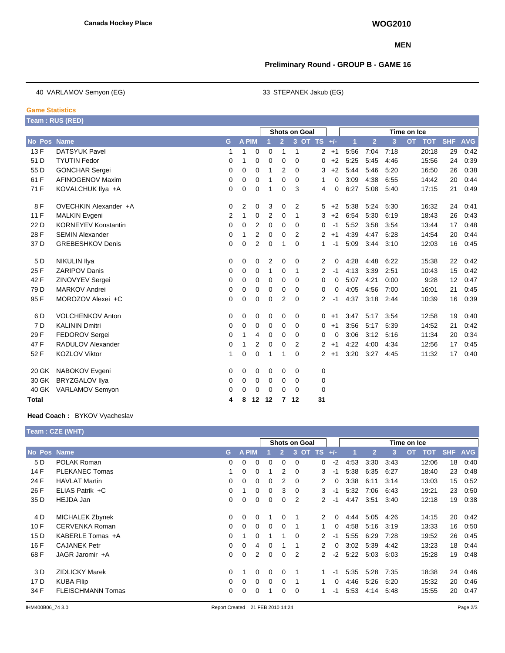#### **MEN**

## **Preliminary Round - GROUP B - GAME 16**

40 VARLAMOV Semyon (EG) 33 STEPANEK Jakub (EG)

**Game Statistics**

|              | Team : RUS (RED)           |          |                      |                |                |                |                |                |          |      |                |      |           |            |            |            |
|--------------|----------------------------|----------|----------------------|----------------|----------------|----------------|----------------|----------------|----------|------|----------------|------|-----------|------------|------------|------------|
|              |                            |          | <b>Shots on Goal</b> |                |                | Time on Ice    |                |                |          |      |                |      |           |            |            |            |
| No Pos       | <b>Name</b>                | G        | A PIM                |                |                | $\overline{2}$ |                | 3 OT TS +/-    |          | 1    | $\overline{2}$ | 3    | <b>OT</b> | <b>TOT</b> | <b>SHF</b> | <b>AVG</b> |
| 13 F         | <b>DATSYUK Pavel</b>       | 1        | 1                    | 0              | 0              | 1              | 1              | $\overline{2}$ | $+1$     | 5:56 | 7:04           | 7:18 |           | 20:18      | 29         | 0:42       |
| 51 D         | <b>TYUTIN Fedor</b>        | 0        | 1                    | 0              | 0              | 0              | $\mathbf 0$    | 0              | $+2$     | 5:25 | 5:45           | 4:46 |           | 15:56      | 24         | 0:39       |
| 55 D         | <b>GONCHAR Sergei</b>      | 0        | 0                    | 0              | 1              | 2              | 0              | 3              | $+2$     | 5:44 | 5:46           | 5:20 |           | 16:50      | 26         | 0:38       |
| 61 F         | AFINOGENOV Maxim           | 0        | 0                    | 0              | 1              | 0              | $\Omega$       | 1              | 0        | 3:09 | 4:38           | 6:55 |           | 14:42      | 20         | 0:44       |
| 71 F         | KOVALCHUK IIya +A          | 0        | 0                    | 0              | 1              | 0              | 3              | 4              | 0        | 6:27 | 5:08           | 5:40 |           | 17:15      | 21         | 0:49       |
| 8F           | OVECHKIN Alexander +A      | 0        | 2                    | 0              | 3              | 0              | 2              | 5              | $+2$     | 5:38 | 5:24           | 5:30 |           | 16:32      | 24         | 0:41       |
| 11F          | <b>MALKIN Evgeni</b>       | 2        | 1                    | 0              | $\overline{2}$ | 0              | $\mathbf 1$    | 3              | $+2$     | 6:54 | 5:30           | 6:19 |           | 18:43      | 26         | 0:43       |
| 22 D         | <b>KORNEYEV Konstantin</b> | 0        | 0                    | $\overline{2}$ | 0              | 0              | 0              | 0              | $-1$     | 5:52 | 3:58           | 3:54 |           | 13:44      | 17         | 0:48       |
| 28 F         | <b>SEMIN Alexander</b>     | 0        | 1                    | $\overline{2}$ | 0              | 0              | 2              | 2              | $+1$     | 4:39 | 4:47           | 5:28 |           | 14:54      | 20         | 0:44       |
| 37 D         | <b>GREBESHKOV Denis</b>    | $\Omega$ | $\Omega$             | $\overline{2}$ | 0              | 1              | $\Omega$       | 1              | -1       | 5:09 | 3:44           | 3:10 |           | 12:03      | 16         | 0:45       |
| 5 D          | <b>NIKULIN IIya</b>        | 0        | 0                    | 0              | 2              | 0              | 0              | 2              | 0        | 4:28 | 4:48           | 6:22 |           | 15:38      | 22         | 0:42       |
| 25 F         | <b>ZARIPOV Danis</b>       | 0        | 0                    | 0              | 1              | 0              | 1              | 2              | $-1$     | 4:13 | 3:39           | 2:51 |           | 10:43      | 15         | 0:42       |
| 42 F         | ZINOVYEV Sergei            | 0        | 0                    | 0              | 0              | 0              | 0              | 0              | 0        | 5:07 | 4:21           | 0:00 |           | 9:28       | 12         | 0:47       |
| 79 D         | <b>MARKOV Andrei</b>       | 0        | 0                    | 0              | 0              | 0              | 0              | 0              | 0        | 4:05 | 4:56           | 7:00 |           | 16:01      | 21         | 0:45       |
| 95 F         | MOROZOV Alexei +C          | 0        | 0                    | 0              | 0              | 2              | $\Omega$       | 2              | -1       | 4:37 | 3:18           | 2:44 |           | 10:39      | 16         | 0:39       |
| 6 D          | <b>VOLCHENKOV Anton</b>    | 0        | 0                    | 0              | 0              | 0              | 0              | 0              | $+1$     | 3:47 | 5:17           | 3:54 |           | 12:58      | 19         | 0:40       |
| 7 D          | <b>KALININ Dmitri</b>      | 0        | 0                    | 0              | 0              | 0              | 0              | 0              | $+1$     | 3:56 | 5:17           | 5:39 |           | 14:52      | 21         | 0:42       |
| 29 F         | <b>FEDOROV Sergei</b>      | 0        | 1                    | 4              | 0              | 0              | $\Omega$       | 0              | $\Omega$ | 3:06 | 3:12           | 5:16 |           | 11:34      | 20         | 0:34       |
| 47 F         | RADULOV Alexander          | $\Omega$ | 1                    | 2              | 0              | 0              | $\overline{2}$ | $\overline{2}$ | $+1$     | 4:22 | 4:00           | 4:34 |           | 12:56      | 17         | 0:45       |
| 52 F         | <b>KOZLOV Viktor</b>       | 1        | 0                    | 0              | 1              | 1              | $\Omega$       | $\overline{2}$ | $+1$     | 3:20 | 3:27           | 4:45 |           | 11:32      | 17         | 0:40       |
| 20 GK        | NABOKOV Evgeni             | 0        | 0                    | 0              | 0              | 0              | 0              | 0              |          |      |                |      |           |            |            |            |
| 30 GK        | <b>BRYZGALOV IIya</b>      | 0        | 0                    | 0              | 0              | 0              | 0              | 0              |          |      |                |      |           |            |            |            |
| 40 GK        | <b>VARLAMOV Semyon</b>     | 0        | 0                    | 0              | 0              | 0              | $\Omega$       | 0              |          |      |                |      |           |            |            |            |
| <b>Total</b> |                            | 4        | 8                    | 12             | 12             | 7              | 12             | 31             |          |      |                |      |           |            |            |            |

#### **Head Coach :** BYKOV Vyacheslav

|             | Team: CZE (WHT)          |          |              |   |          |                |                      |              |          |             |                |      |           |            |            |            |
|-------------|--------------------------|----------|--------------|---|----------|----------------|----------------------|--------------|----------|-------------|----------------|------|-----------|------------|------------|------------|
|             |                          |          |              |   |          |                | <b>Shots on Goal</b> |              |          | Time on Ice |                |      |           |            |            |            |
| No Pos Name |                          | G.       | <b>A PIM</b> |   |          | $\overline{2}$ | <b>OT</b><br>Q       | <b>TS</b>    | $+/-$    |             | $\overline{2}$ | 3    | <b>OT</b> | <b>TOT</b> | <b>SHF</b> | <b>AVG</b> |
| 5 D         | POLAK Roman              | 0        | $\Omega$     | 0 | 0        | $\Omega$       | $\Omega$             | $\mathbf 0$  | $-2$     | 4:53        | 3:30           | 3:43 |           | 12:06      | 18         | 0:40       |
| 14 F        | <b>PLEKANEC Tomas</b>    |          | $\Omega$     | 0 |          | 2              | $\Omega$             | 3            | -1       | 5.38        | 6:35           | 6:27 |           | 18:40      | 23         | 0:48       |
| 24 F        | <b>HAVLAT Martin</b>     | $\Omega$ | $\Omega$     | 0 | 0        | 2              | $\Omega$             | 2            | 0        | 3:38        | 6:11           | 3:14 |           | 13:03      | 15         | 0:52       |
| 26 F        | ELIAS Patrik +C          | $\Omega$ |              | 0 | 0        | 3              | $\Omega$             | 3            | $-1$     | 5:32        | 7:06           | 6:43 |           | 19:21      | 23         | 0:50       |
| 35 D        | HEJDA Jan                | 0        | $\Omega$     | 0 | 0        | 0              | 2                    | $\mathbf{2}$ | $-1$     | 4:47        | 3:51           | 3:40 |           | 12:18      | 19         | 0:38       |
|             |                          |          |              |   |          |                |                      |              |          |             |                |      |           |            |            |            |
| 4 D         | MICHALEK Zbynek          | 0        | $\Omega$     | 0 |          | 0              | 1                    | 2            | 0        | 4:44        | 5:05           | 4:26 |           | 14:15      | 20         | 0:42       |
| 10F         | <b>CERVENKA Roman</b>    | $\Omega$ | $\Omega$     | 0 | 0        | 0              | 1                    |              | 0        | 4:58        | 5:16           | 3:19 |           | 13:33      | 16         | 0:50       |
| 15 D        | KABERLE Tomas +A         | $\Omega$ |              | 0 |          |                | $\Omega$             | 2            | -1       | 5:55        | 6:29           | 7:28 |           | 19:52      | 26         | 0:45       |
| 16 F        | <b>CAJANEK Petr</b>      | $\Omega$ | $\Omega$     | 4 | $\Omega$ |                | 1                    | 2            | $\Omega$ | 3:02        | 5:39           | 4:42 |           | 13:23      | 18         | 0:44       |
| 68 F        | JAGR Jaromir +A          | 0        | $\Omega$     | 2 | 0        | 0              | 2                    | 2            | $-2$     | 5:22        | 5:03           | 5:03 |           | 15:28      | 19         | 0:48       |
| 3 D         | <b>ZIDLICKY Marek</b>    | $\Omega$ |              | 0 | 0        | 0              | 1                    |              | -1       | 5:35        | 5:28           | 7:35 |           | 18:38      | 24         | 0:46       |
| 17 D        | <b>KUBA Filip</b>        | 0        | $\Omega$     | 0 | 0        | 0              | 1                    |              | 0        | 4:46        | 5:26           | 5:20 |           | 15:32      | 20         | 0:46       |
| 34 F        | <b>FLEISCHMANN Tomas</b> | 0        | $\Omega$     | 0 |          | 0              | 0                    |              | $-1$     | 5:53        | 4:14           | 5:48 |           | 15:55      | 20         | 0:47       |